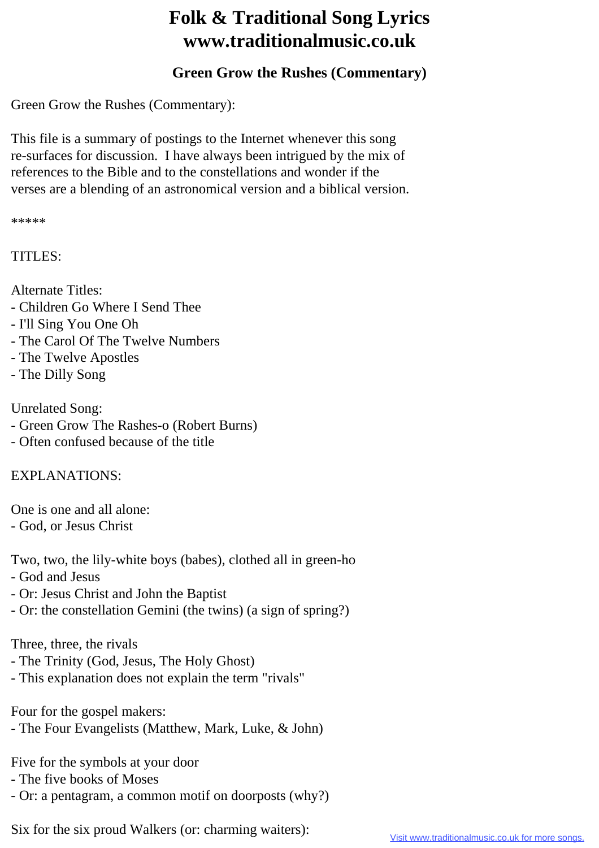## **Folk & Traditional Song Lyrics www.traditionalmusic.co.uk**

## **Green Grow the Rushes (Commentary)**

Green Grow the Rushes (Commentary):

This file is a summary of postings to the Internet whenever this song re-surfaces for discussion. I have always been intrigued by the mix of references to the Bible and to the constellations and wonder if the verses are a blending of an astronomical version and a biblical version.

\*\*\*\*\*

TITLES:

Alternate Titles:

- Children Go Where I Send Thee
- I'll Sing You One Oh
- The Carol Of The Twelve Numbers
- The Twelve Apostles
- The Dilly Song

Unrelated Song:

- Green Grow The Rashes-o (Robert Burns)
- Often confused because of the title

EXPLANATIONS:

One is one and all alone:

- God, or Jesus Christ

Two, two, the lily-white boys (babes), clothed all in green-ho

- God and Jesus
- Or: Jesus Christ and John the Baptist
- Or: the constellation Gemini (the twins) (a sign of spring?)

Three, three, the rivals

- The Trinity (God, Jesus, The Holy Ghost)
- This explanation does not explain the term "rivals"

Four for the gospel makers:

- The Four Evangelists (Matthew, Mark, Luke, & John)

Five for the symbols at your door

- The five books of Moses

- Or: a pentagram, a common motif on doorposts (why?)

Six for the six proud Walkers (or: charming waiters):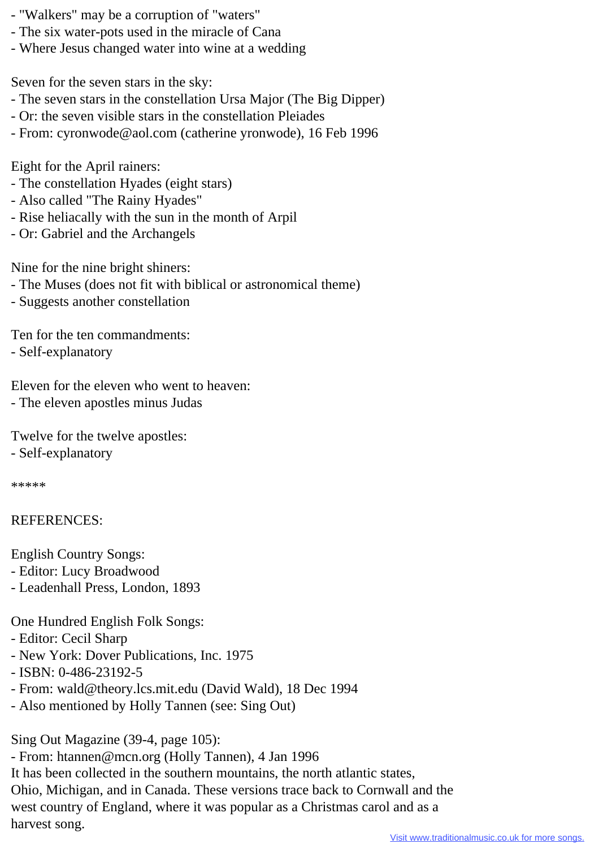- "Walkers" may be a corruption of "waters"
- The six water-pots used in the miracle of Cana
- Where Jesus changed water into wine at a wedding

Seven for the seven stars in the sky:

- The seven stars in the constellation Ursa Major (The Big Dipper)
- Or: the seven visible stars in the constellation Pleiades
- From: cyronwode@aol.com (catherine yronwode), 16 Feb 1996

Eight for the April rainers:

- The constellation Hyades (eight stars)
- Also called "The Rainy Hyades"
- Rise heliacally with the sun in the month of Arpil
- Or: Gabriel and the Archangels

Nine for the nine bright shiners:

- The Muses (does not fit with biblical or astronomical theme)
- Suggests another constellation

Ten for the ten commandments:

- Self-explanatory

Eleven for the eleven who went to heaven: - The eleven apostles minus Judas

Twelve for the twelve apostles:

- Self-explanatory

\*\*\*\*\*

## REFERENCES:

- English Country Songs:
- Editor: Lucy Broadwood
- Leadenhall Press, London, 1893

One Hundred English Folk Songs:

- Editor: Cecil Sharp
- New York: Dover Publications, Inc. 1975
- ISBN: 0-486-23192-5
- From: wald@theory.lcs.mit.edu (David Wald), 18 Dec 1994
- Also mentioned by Holly Tannen (see: Sing Out)

Sing Out Magazine (39-4, page 105):

- From: htannen@mcn.org (Holly Tannen), 4 Jan 1996

It has been collected in the southern mountains, the north atlantic states, Ohio, Michigan, and in Canada. These versions trace back to Cornwall and the west country of England, where it was popular as a Christmas carol and as a harvest song.